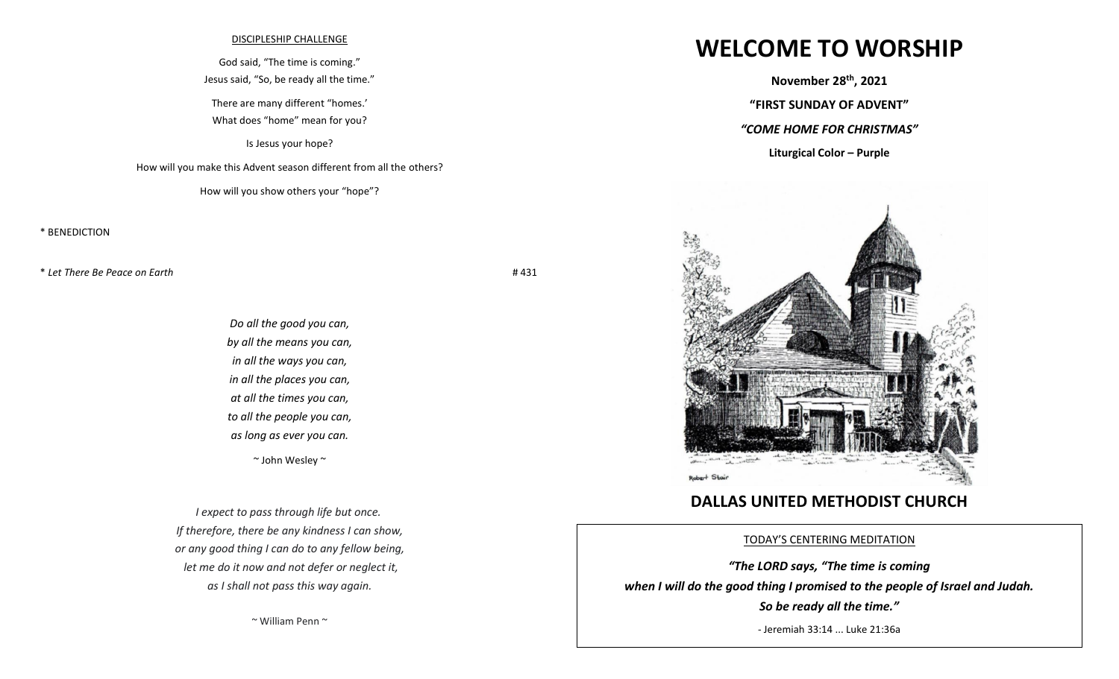## DISCIPLESHIP CHALLENGE

God said, "The time is coming." Jesus said, "So, be ready all the time."

There are many different "homes.'

What does "home" mean for you?

Is Jesus your hope?

How will you make this Advent season different from all the others?

How will you show others your "hope"?

\* BENEDICTION

\* *Let There Be Peace on Earth* # 431

*Do all the good you can, by all the means you can, in all the ways you can, in all the places you can, at all the times you can, to all the people you can, as long as ever you can.* [~ John Wesley](https://www.brainyquote.com/authors/john-wesley-quotes) ~

*I expect to pass through life but once. If therefore, there be any kindness I can show, or any good thing I can do to any fellow being, let me do it now and not defer or neglect it, as I shall not pass this way again.*

~ William Penn ~

## **WELCOME TO WORSHIP**

**November 28 th , 2021**

**"FIRST SUNDAY OF ADVENT"**

*"COME HOME FOR CHRISTMAS"*

**Liturgical Color – Purple** 



## **DALLAS UNITED METHODIST CHURCH**

TODAY'S CENTERING MEDITATION

*"The LORD says, "The time is coming when I will do the good thing I promised to the people of Israel and Judah. So be ready all the time."*

- Jeremiah 33:14 ... Luke 21:36a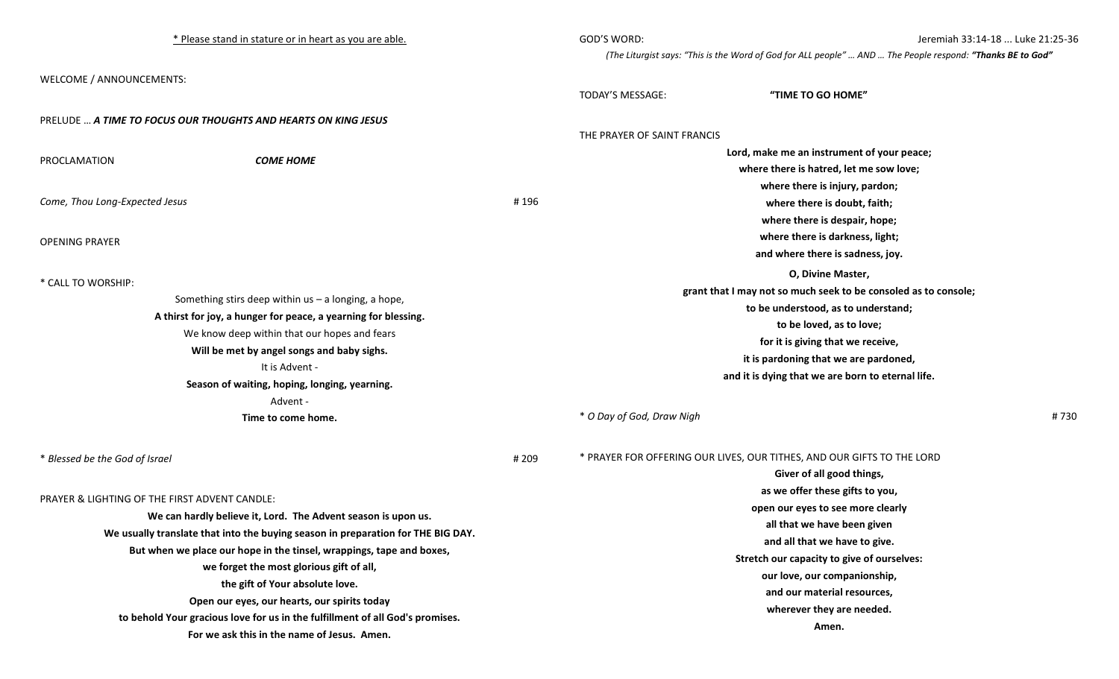| * Please stand in stature or in heart as you are able.                                                                                                                         |       | GOD'S WORD:                                                                                                | Jeremiah 33:14-18  Luke 21:25-36                                       |
|--------------------------------------------------------------------------------------------------------------------------------------------------------------------------------|-------|------------------------------------------------------------------------------------------------------------|------------------------------------------------------------------------|
|                                                                                                                                                                                |       | (The Liturgist says: "This is the Word of God for ALL people"  AND  The People respond: "Thanks BE to God" |                                                                        |
| WELCOME / ANNOUNCEMENTS:                                                                                                                                                       |       |                                                                                                            |                                                                        |
|                                                                                                                                                                                |       | TODAY'S MESSAGE:                                                                                           | "TIME TO GO HOME"                                                      |
|                                                                                                                                                                                |       |                                                                                                            |                                                                        |
| PRELUDE  A TIME TO FOCUS OUR THOUGHTS AND HEARTS ON KING JESUS                                                                                                                 |       | THE PRAYER OF SAINT FRANCIS                                                                                |                                                                        |
|                                                                                                                                                                                |       | Lord, make me an instrument of your peace;                                                                 |                                                                        |
| <b>COME HOME</b><br>PROCLAMATION                                                                                                                                               |       |                                                                                                            | where there is hatred, let me sow love;                                |
|                                                                                                                                                                                |       |                                                                                                            | where there is injury, pardon;                                         |
| Come, Thou Long-Expected Jesus                                                                                                                                                 | #196  |                                                                                                            | where there is doubt, faith;                                           |
|                                                                                                                                                                                |       |                                                                                                            | where there is despair, hope;                                          |
| <b>OPENING PRAYER</b>                                                                                                                                                          |       |                                                                                                            | where there is darkness, light;                                        |
|                                                                                                                                                                                |       |                                                                                                            | and where there is sadness, joy.                                       |
|                                                                                                                                                                                |       |                                                                                                            | O, Divine Master,                                                      |
| * CALL TO WORSHIP:                                                                                                                                                             |       |                                                                                                            | grant that I may not so much seek to be consoled as to console;        |
| Something stirs deep within $us - a$ longing, a hope,                                                                                                                          |       |                                                                                                            | to be understood, as to understand;                                    |
| A thirst for joy, a hunger for peace, a yearning for blessing.<br>We know deep within that our hopes and fears<br>Will be met by angel songs and baby sighs.<br>It is Advent - |       |                                                                                                            | to be loved, as to love;                                               |
|                                                                                                                                                                                |       |                                                                                                            | for it is giving that we receive,                                      |
|                                                                                                                                                                                |       |                                                                                                            | it is pardoning that we are pardoned,                                  |
|                                                                                                                                                                                |       |                                                                                                            | and it is dying that we are born to eternal life.                      |
| Season of waiting, hoping, longing, yearning.                                                                                                                                  |       |                                                                                                            |                                                                        |
| Advent -                                                                                                                                                                       |       |                                                                                                            |                                                                        |
| Time to come home.                                                                                                                                                             |       | * O Day of God, Draw Nigh                                                                                  | #730                                                                   |
| * Blessed be the God of Israel                                                                                                                                                 | # 209 |                                                                                                            | * PRAYER FOR OFFERING OUR LIVES, OUR TITHES, AND OUR GIFTS TO THE LORD |
|                                                                                                                                                                                |       |                                                                                                            | Giver of all good things,                                              |
|                                                                                                                                                                                |       |                                                                                                            | as we offer these gifts to you,                                        |
| PRAYER & LIGHTING OF THE FIRST ADVENT CANDLE:                                                                                                                                  |       |                                                                                                            | open our eyes to see more clearly                                      |
| We can hardly believe it, Lord. The Advent season is upon us.                                                                                                                  |       |                                                                                                            | all that we have been given                                            |
| We usually translate that into the buying season in preparation for THE BIG DAY.                                                                                               |       | and all that we have to give.                                                                              |                                                                        |
| But when we place our hope in the tinsel, wrappings, tape and boxes,                                                                                                           |       |                                                                                                            | Stretch our capacity to give of ourselves:                             |
| we forget the most glorious gift of all,<br>the gift of Your absolute love.                                                                                                    |       |                                                                                                            | our love, our companionship,                                           |
|                                                                                                                                                                                |       |                                                                                                            | and our material resources,                                            |
| Open our eyes, our hearts, our spirits today<br>to behold Your gracious love for us in the fulfillment of all God's promises.                                                  |       |                                                                                                            | wherever they are needed.                                              |
| For we ask this in the name of Jesus. Amen.                                                                                                                                    |       |                                                                                                            | Amen.                                                                  |
|                                                                                                                                                                                |       |                                                                                                            |                                                                        |